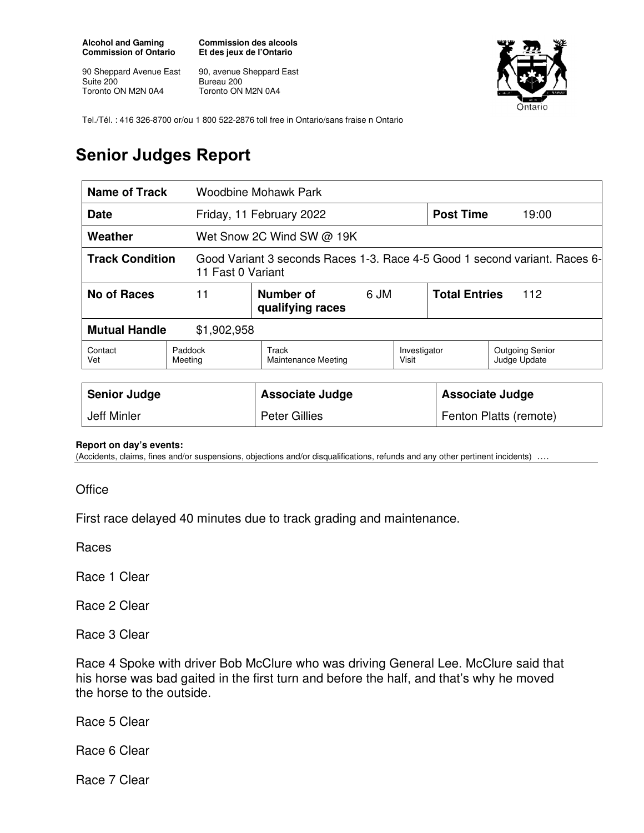**Alcohol and Gaming Commission of Ontario** 

90 Sheppard Avenue East Suite 200 Toronto ON M2N 0A4

**Commission des alcools Et des jeux de l'Ontario** 

90, avenue Sheppard East Bureau 200 Toronto ON M2N 0A4



Tel./Tél. : 416 326-8700 or/ou 1 800 522-2876 toll free in Ontario/sans fraise n Ontario

## **Senior Judges Report**

| <b>Name of Track</b>                                                                                                      |                    | <b>Woodbine Mohawk Park</b>         |      |                       |                      |                                        |
|---------------------------------------------------------------------------------------------------------------------------|--------------------|-------------------------------------|------|-----------------------|----------------------|----------------------------------------|
| <b>Date</b>                                                                                                               |                    | Friday, 11 February 2022            |      |                       | <b>Post Time</b>     | 19:00                                  |
| Weather                                                                                                                   |                    | Wet Snow 2C Wind SW @ 19K           |      |                       |                      |                                        |
| <b>Track Condition</b><br>Good Variant 3 seconds Races 1-3. Race 4-5 Good 1 second variant. Races 6-<br>11 Fast 0 Variant |                    |                                     |      |                       |                      |                                        |
| <b>No of Races</b>                                                                                                        | 11                 | Number of<br>qualifying races       | 6 JM |                       | <b>Total Entries</b> | 112                                    |
| <b>Mutual Handle</b><br>\$1,902,958                                                                                       |                    |                                     |      |                       |                      |                                        |
| Contact<br>Vet                                                                                                            | Paddock<br>Meeting | Track<br><b>Maintenance Meeting</b> |      | Investigator<br>Visit |                      | <b>Outgoing Senior</b><br>Judge Update |

| <b>Senior Judge</b> | Associate Judge      | Associate Judge        |
|---------------------|----------------------|------------------------|
| Jeff Minler         | <b>Peter Gillies</b> | Fenton Platts (remote) |

## **Report on day's events:**

(Accidents, claims, fines and/or suspensions, objections and/or disqualifications, refunds and any other pertinent incidents) ….

**Office** 

First race delayed 40 minutes due to track grading and maintenance.

Races

Race 1 Clear

Race 2 Clear

Race 3 Clear

Race 4 Spoke with driver Bob McClure who was driving General Lee. McClure said that his horse was bad gaited in the first turn and before the half, and that's why he moved the horse to the outside.

Race 5 Clear

Race 6 Clear

Race 7 Clear